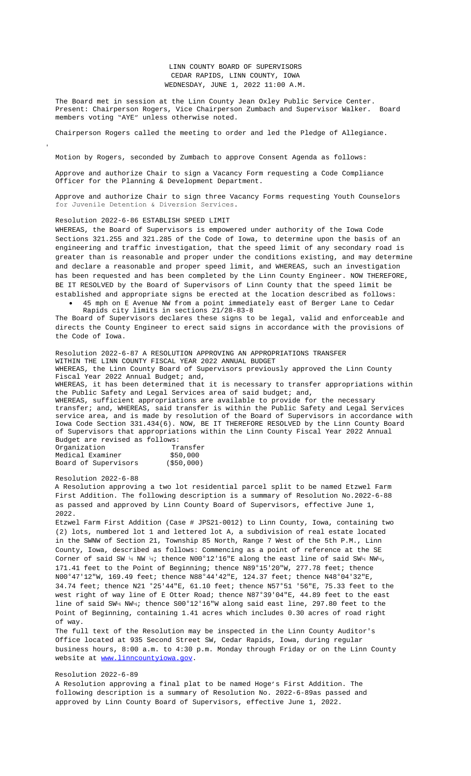Approve and authorize Chair to sign a Vacancy Form requesting a Code Compliance Officer for the Planning & Development Department.

Approve and authorize Chair to sign three Vacancy Forms requesting Youth Counselors for Juvenile Detention & Diversion Services.

Resolution 2022-6-86 ESTABLISH SPEED LIMIT

WHEREAS, the Board of Supervisors is empowered under authority of the Iowa Code Sections 321.255 and 321.285 of the Code of Iowa, to determine upon the basis of an engineering and traffic investigation, that the speed limit of any secondary road is greater than is reasonable and proper under the conditions existing, and may determine and declare a reasonable and proper speed limit, and WHEREAS, such an investigation has been requested and has been completed by the Linn County Engineer. NOW THEREFORE, BE IT RESOLVED by the Board of Supervisors of Linn County that the speed limit be established and appropriate signs be erected at the location described as follows:

 45 mph on E Avenue NW from a point immediately east of Berger Lane to Cedar Rapids city limits in sections 21/28-83-8

The Board of Supervisors declares these signs to be legal, valid and enforceable and directs the County Engineer to erect said signs in accordance with the provisions of the Code of Iowa.

Resolution 2022-6-87 A RESOLUTION APPROVING AN APPROPRIATIONS TRANSFER WITHIN THE LINN COUNTY FISCAL YEAR 2022 ANNUAL BUDGET WHEREAS, the Linn County Board of Supervisors previously approved t[he Linn County](Documents/5-31%20&%206-1%203%20Youth%20Counselors.pdf)  Fiscal Year 2022 Annual Budget; and, WHEREAS, it has been determined that it is necessary to transfer appropriations within the Public Safety and Legal Services area of said budget; and, WHEREAS, sufficient appropriations are available to provide for the necessary transfer; and, WHEREAS, said transfer is within the Public Safety and Legal Services service area, and is made by resolution of the Board of Supervisors in accordance with Iowa Code Section 331.434(6). NOW, BE IT THEREFORE RESOLVED by the Linn County Board of Supervisors that appropriations within the Linn County Fiscal Year 2022 Annual Budget are revised as follows:<br>Organization Transfer Organization

| OTAQIITSQCTOII       |  | TT GIIPTET |             |
|----------------------|--|------------|-------------|
| Medical Examiner     |  | \$50,000   |             |
| Board of Supervisors |  |            | ( \$50,000) |

## Resolution 2022-6-88

A Resolution approving a two lot residential parcel split to be named Etzwel Farm First Addition. The following description is a summary of Resolution No. 2022-6-88 as passed and approved by Linn County Board of Supervisors, effective June 1, 2022.

Etzwel Farm First Addition (Case # JPS21-0012) to Linn County, Iowa, containing two (2) lots, numbered lot 1 and lettered lot A, a subdivision of real estate located in the SWNW of Section 21, Township 85 North, Range 7 West of the 5th P.M., Linn County, Iowa, described as follows: Commencing as a point of reference at the SE Corner of said SW ¼ NW ¼; thence N00°12'16"E along the east line of said SW¼ NW¼, 171.41 feet to the Point of Beginning; thence N89°15'20"W, 277.78 feet; thence N00°47'12"W, 169.49 feet; thence N88°44'42"E, 124.37 feet; thence N48°04'32"E, 34.74 feet; thence N21 °25'44"E, 61.10 feet; thence N57°51 '56"E, 75.33 feet to the west right of way line of E Otter Road; thence N87°39'04"E, 44.89 feet to the east line of said SW¼ NW¼; thence S00°12'16"W along said east line, 297.80 feet to the Point of Beginning, containing 1.41 acres which includes 0.30 acres of road right of way.

The full text of the Resolution may be inspected in the Linn County Auditor's Office located at 935 Second Street SW, Cedar Rapids, Iowa, during regular business hours, 8:00 a.m. to 4:30 p.m. Monday through Friday or on the Linn County website at www.linncountyiowa.gov.

## Resolution 2022-6-89

A Resolution approving a final plat to be named Hoge's First Addition. The following description is a summary of Resolution No. 2022-6-89as passed and approved by Linn County Board of Supervisors, effective June 1, 2022.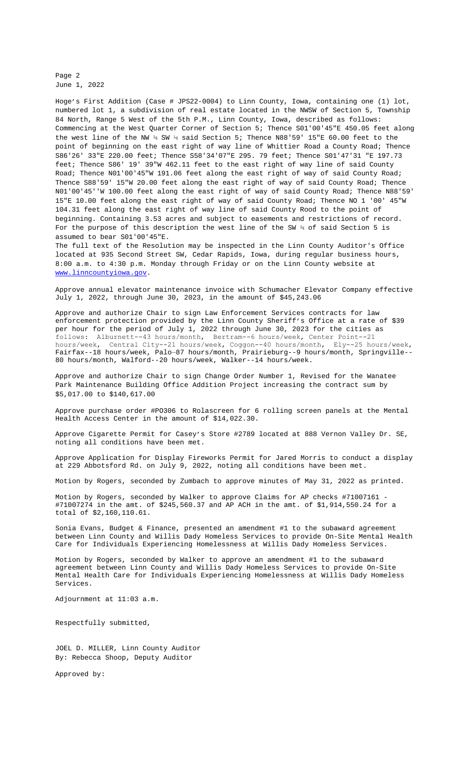feet; filling set is as we feet feet to the east right of way fille of said County Road; Thence N01'00'45"W 191.06 feet along the east right of way of said County Road; Thence S88'59' 15"W 20.00 feet along the east right of way of said County Road; Thence N01'00'45''W 100.00 feet along the east right of way of said County Road; Thence N88'59' 15"E 10.00 feet along the east right of way of said County Road; Thence NO 1 '00' 45"W 104.31 feet along the east right of way line of said County Rood to the point of beginning. Containing 3.53 acres and subject to easements and restrictions of record. For the purpose of this description the west line of the SW  $\frac{3}{4}$  of said Section 5 is assumed to bear S01'00'45"E.

The full text of the Resolution may be inspected in the Linn County Auditor's Office located at 935 Second Street SW, Cedar Rapids, Iowa, during regular business hours, 8:00 a.m. to 4:30 p.m. Monday through Friday or on the Linn County website at www.linncountyiowa.gov.

Approve annual elevator maintenance invoice with Schumacher Elevator Company effective July 1, 2022, through June 30, 2023, in the amount of \$45,243.06

Approve and authorize Chair to sign Law Enforcement Services contracts for law enforcement protection provided by the Linn County Sheriff's Office at a rate of \$39 per hour for the period of July 1, 2022 through June 30, 2023 for the cities as follows: Alburnett--43 hours/month, Bertram--6 hours/week, Center Point--21 hours/week, Central City--21 hours/week, Coggon--40 hours/month, Ely--25 hours/week, Fairfax--18 hours/week, Palo—87 hours/month, Prairieburg--9 hours/month, Springville-- 80 hours/month, Walford--20 hours/week, Walker--14 hours/week.

Approve and authorize Chair to sign Change Order Number 1, Revised for the Wanatee Park Maintenance Building Office Addition Project increasing the contract sum by \$5,017.00 to \$140,617.00

Approve purchase order #PO306 to Rolascreen for 6 rolling screen panels at the Mental Health Access Center in the amount of \$14,022.30.

Approve Cigarette Permit for Casey's Store #2789 located at 888 Vernon Valley Dr. SE, [noting all conditions h](http://www.linncountyiowa.gov)ave been met.

Approve Application for Display Fireworks Permit [for Jared Morris to conduct](Documents/6-1%20Schumacher%20Elevator%20Invoice.pdf) a display at 229 Abbotsford Rd. on July 9, 2022, noting all conditions have been met.

Motion by Rogers, seconded by Zumba[ch to approve minutes of May 31, 20](Documents/6-1%20Law%20Enforcement%20Services%20(13).pdf)22 as printed.

Motion by Rogers, seconded by Walker to approve Claims for AP checks #71007161 - #71007274 in the amt. of \$245,560.37 and AP ACH in the amt. of \$1,914,550.24 for a total of \$2,160,110.61.

Sonia Evans, Budget & Finance, presented an amendment #1 to the subaward agreement between Linn County and Willis Dady Homeless Services to provide On-Site Mental Health Care for Individuals Experiencing Homelessness at Willis Da[dy Homeless Services.](Documents/6-1%20Change%20Order%20No.%201%20Revised%20Loecke%20Building%20Services%20Wanatee%20Park%20Maintenance%20Building%20Office%20Addition.pdf)

Motion by Rogers, seconded by Walker to approve an amendment #1 to the subaward agreement between Linn County and Willis Dady Homeless Services to provide On-Site Mental Health Care for Individuals Experiencing Homelessness at Willis Dady Homeless Services.

Adjournment at 11:03 a.m.

Respectfully submitted,

JOEL D. MILLER, Linn County Auditor By: Rebecca Shoop, Deputy Auditor

Approved by: